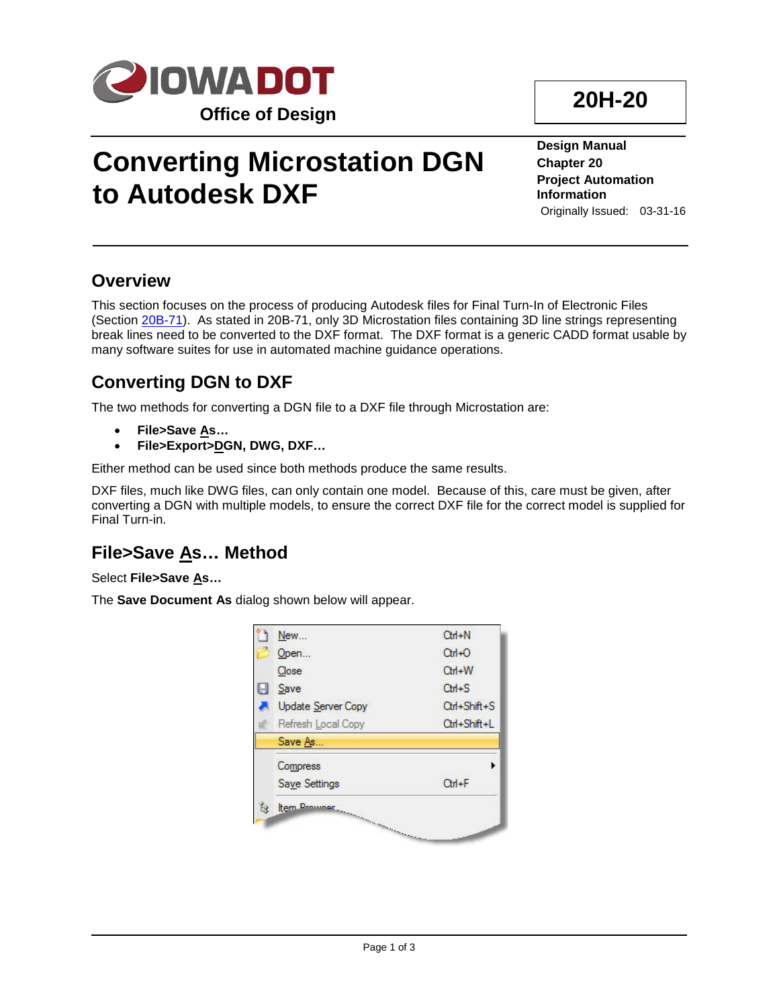

# **Converting Microstation DGN to Autodesk DXF**

**Design Manual Chapter 20 Project Automation Information** Originally Issued: 03-31-16

#### **Overview**

This section focuses on the process of producing Autodesk files for Final Turn-In of Electronic Files (Section 20B-71). As stated in 20B-71, only 3D Microstation files containing 3D line strings representing break lines need to be converted to the DXF format. The DXF format is a generic CADD format usable by many software suites for use in automated machine guidance operations.

#### **Converting DGN to DXF**

The two methods for converting a DGN file to a DXF file through Microstation are:

- **File>Save As…**
- **File>Export>DGN, DWG, DXF…**

Either method can be used since both methods produce the same results.

DXF files, much like DWG files, can only contain one model. Because of this, care must be given, after converting a DGN with multiple models, to ensure the correct DXF file for the correct model is supplied for Final Turn-in.

#### **File>Save As… Method**

Select **File>Save As…**

The **Save Document As** dialog shown below will appear.



## **20H-20**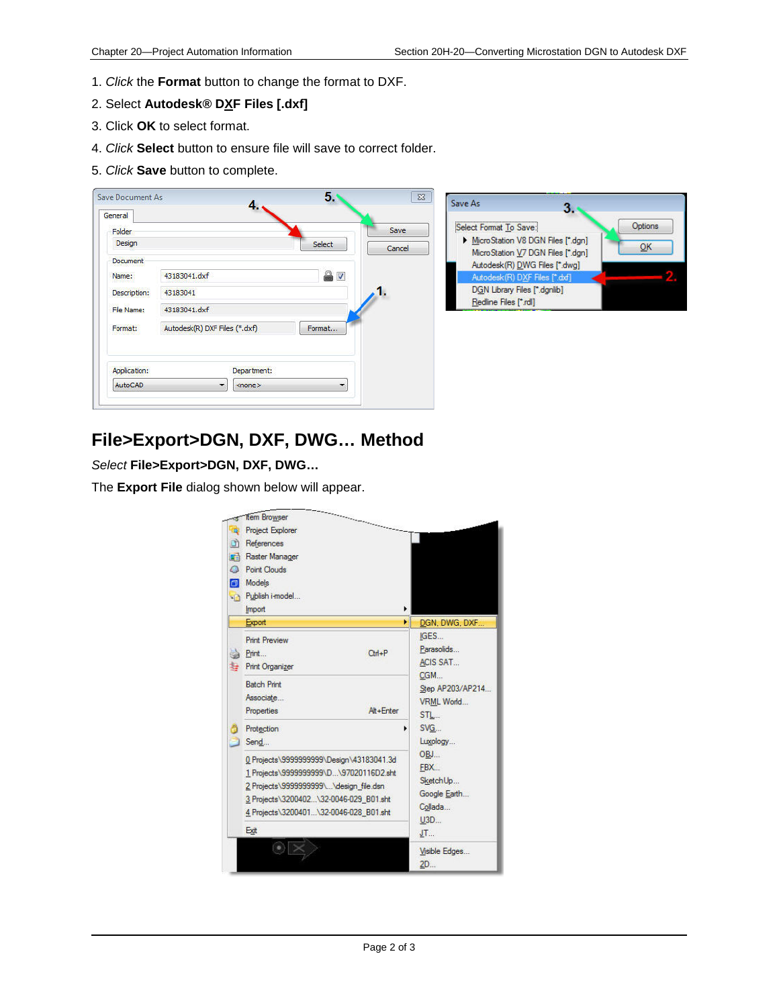- 1. *Click* the **Format** button to change the format to DXF.
- 2. Select **Autodesk® DXF Files [.dxf]**
- 3. Click **OK** to select format.
- 4. *Click* **Select** button to ensure file will save to correct folder.
- 5. *Click* **Save** button to complete.



#### **File>Export>DGN, DXF, DWG… Method**

*Select* **File>Export>DGN, DXF, DWG…**

The **Export File** dialog shown below will appear.

|         | <b>Item Browser</b>                      |  |                   |
|---------|------------------------------------------|--|-------------------|
| a       | Project Explorer                         |  |                   |
| n       | References                               |  |                   |
| 釂       | Raster Manager                           |  |                   |
| $\circ$ | Point Clouds                             |  |                   |
| б       | Models                                   |  |                   |
|         | Publish i-model                          |  |                   |
|         | Import                                   |  |                   |
|         | Export                                   |  | DGN, DWG, DXF     |
|         | <b>Print Preview</b>                     |  | IGES              |
|         | $Cth + P$<br>Print                       |  | Parasolids        |
|         | <b>Print Organizer</b>                   |  | <b>ACIS SAT</b>   |
|         | <b>Batch Print</b>                       |  | CGM               |
|         | Associate                                |  | Step AP203/AP214  |
|         | Properties<br>Alt+Enter                  |  | VRML World<br>STL |
|         | Protection                               |  | SVG.              |
|         | Send                                     |  | Luxology          |
|         | 0 Projects\9999999999\Design\43183041.3d |  | OBJ               |
|         | 1 Projects\9999999999\D\97020116D2.sht   |  | FBX.              |
|         | 2 Projects\9999999999\\design_file.dsn   |  | SketchUp          |
|         | 3 Projects\3200402\32-0046-029 B01.sht   |  | Google Earth      |
|         | 4 Projects\3200401\32-0046-028 B01.sht   |  | Collada           |
|         | Exit                                     |  | U3D<br>JT         |
|         |                                          |  |                   |
|         |                                          |  | Visible Edges     |
|         |                                          |  | 2D                |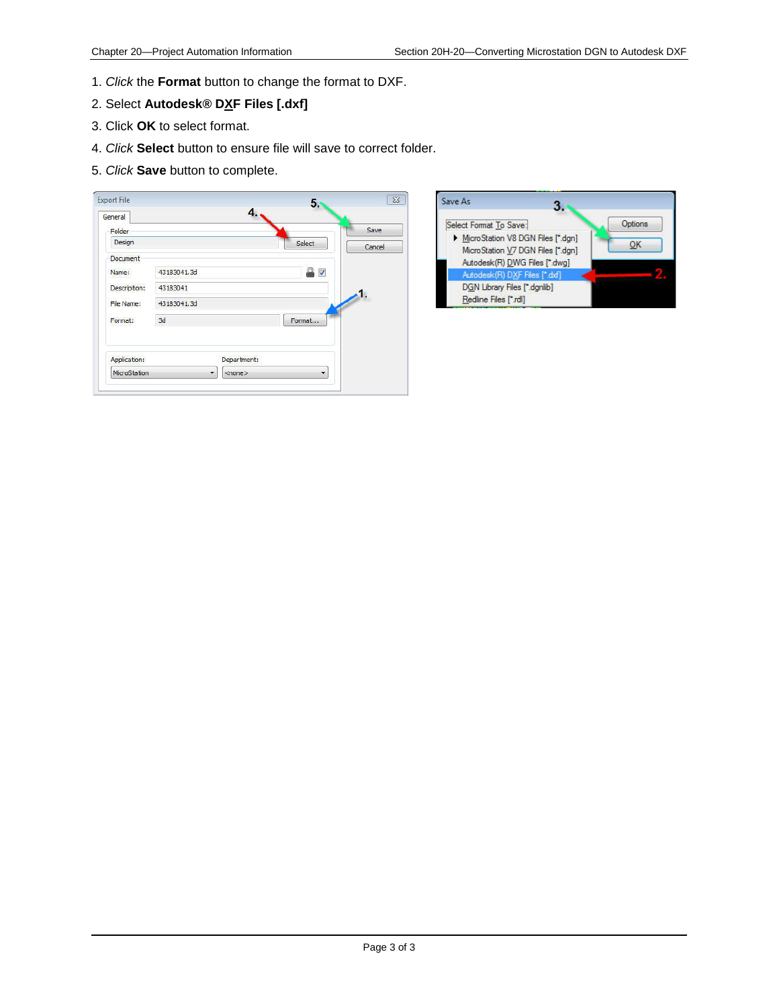- 1. *Click* the **Format** button to change the format to DXF.
- 2. Select **Autodesk® DXF Files [.dxf]**
- 3. Click **OK** to select format.
- 4. *Click* **Select** button to ensure file will save to correct folder.
- 5. *Click* **Save** button to complete.

| Folder       |                                     | Save   |
|--------------|-------------------------------------|--------|
| Design       | Select                              | Cancel |
| Document     |                                     |        |
| Name:        | ₽<br>$\triangledown$<br>43183041.3d |        |
| Description: | 43183041                            |        |
| File Name:   | 43183041.3d                         |        |
| Format:      | Format<br>3d                        |        |
| Application: | Department:                         |        |

| Select Format To Save:            | Options |
|-----------------------------------|---------|
| MicroStation V8 DGN Files [*.dqn] |         |
| MicroStation V7 DGN Files [*.dgn] |         |
| Autodesk(R) DWG Files [".dwg]     |         |
| Autodesk(R) DXF Files [*.dxf]     |         |
| DGN Library Files [*.dgnlib]      |         |
| Redline Files [*.rdl]             |         |